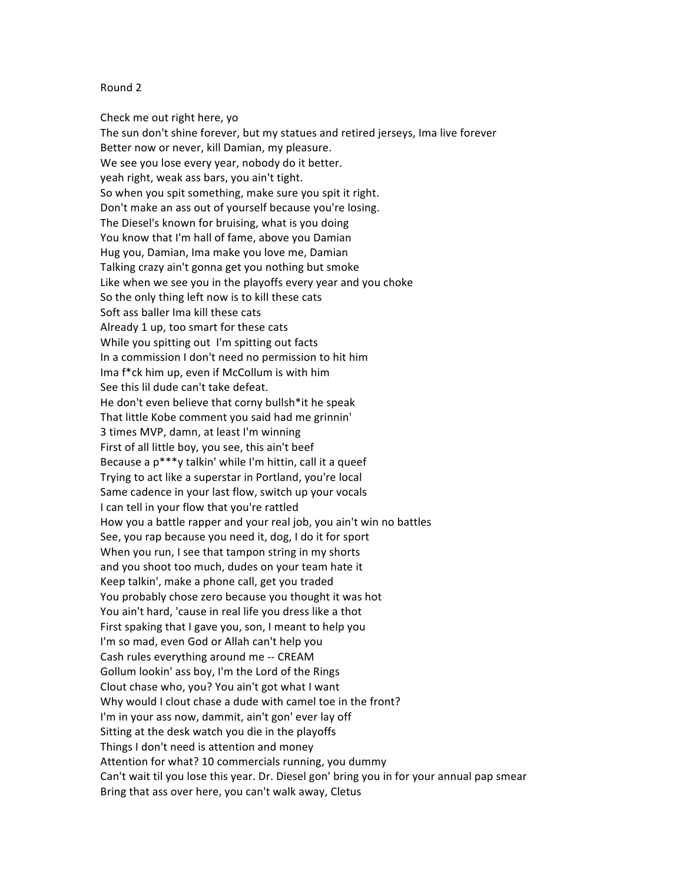## Round 2

Check me out right here, yo The sun don't shine forever, but my statues and retired jerseys, Ima live forever Better now or never, kill Damian, my pleasure. We see you lose every year, nobody do it better. yeah right, weak ass bars, you ain't tight. So when you spit something, make sure you spit it right. Don't make an ass out of yourself because you're losing. The Diesel's known for bruising, what is you doing You know that I'm hall of fame, above you Damian Hug you, Damian, Ima make you love me, Damian Talking crazy ain't gonna get you nothing but smoke Like when we see you in the playoffs every year and you choke So the only thing left now is to kill these cats Soft ass baller Ima kill these cats Already 1 up, too smart for these cats While you spitting out I'm spitting out facts In a commission I don't need no permission to hit him Ima f<sup>\*</sup>ck him up, even if McCollum is with him See this lil dude can't take defeat. He don't even believe that corny bullsh\*it he speak That little Kobe comment you said had me grinnin' 3 times MVP, damn, at least I'm winning First of all little boy, you see, this ain't beef Because a  $p***y$  talkin' while I'm hittin, call it a queef Trying to act like a superstar in Portland, you're local Same cadence in your last flow, switch up your vocals I can tell in your flow that you're rattled How you a battle rapper and your real job, you ain't win no battles See, you rap because you need it, dog, I do it for sport When you run, I see that tampon string in my shorts and you shoot too much, dudes on your team hate it Keep talkin', make a phone call, get you traded You probably chose zero because you thought it was hot You ain't hard, 'cause in real life you dress like a thot First spaking that I gave you, son, I meant to help you I'm so mad, even God or Allah can't help you Cash rules everything around me -- CREAM Gollum lookin' ass boy, I'm the Lord of the Rings Clout chase who, you? You ain't got what I want Why would I clout chase a dude with camel toe in the front? I'm in your ass now, dammit, ain't gon' ever lay off Sitting at the desk watch you die in the playoffs Things I don't need is attention and money Attention for what? 10 commercials running, you dummy Can't wait til you lose this year. Dr. Diesel gon' bring you in for your annual pap smear Bring that ass over here, you can't walk away, Cletus